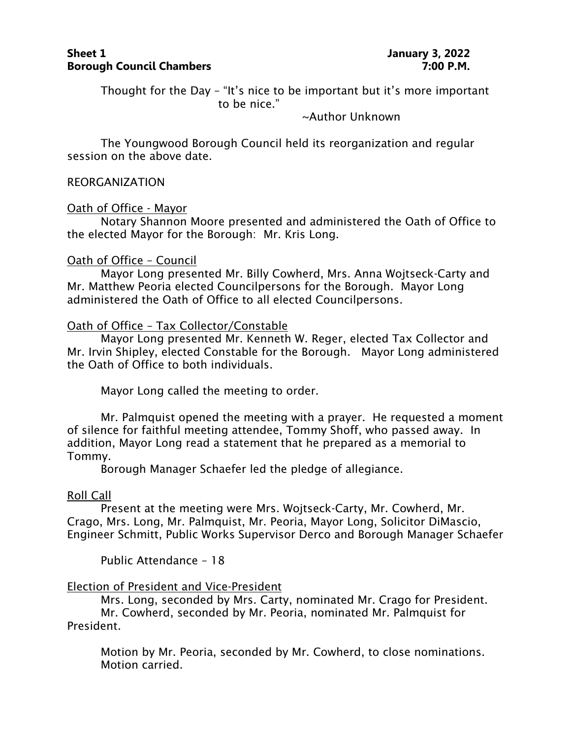## **Sheet 1 1 January** 3, 2022 **Borough Council Chambers 7:00 P.M.**

Thought for the Day – "It's nice to be important but it's more important to be nice."

~Author Unknown

The Youngwood Borough Council held its reorganization and regular session on the above date.

#### REORGANIZATION

## Oath of Office - Mayor

Notary Shannon Moore presented and administered the Oath of Office to the elected Mayor for the Borough: Mr. Kris Long.

## Oath of Office – Council

Mayor Long presented Mr. Billy Cowherd, Mrs. Anna Wojtseck-Carty and Mr. Matthew Peoria elected Councilpersons for the Borough. Mayor Long administered the Oath of Office to all elected Councilpersons.

## Oath of Office – Tax Collector/Constable

Mayor Long presented Mr. Kenneth W. Reger, elected Tax Collector and Mr. Irvin Shipley, elected Constable for the Borough. Mayor Long administered the Oath of Office to both individuals.

Mayor Long called the meeting to order.

Mr. Palmquist opened the meeting with a prayer. He requested a moment of silence for faithful meeting attendee, Tommy Shoff, who passed away. In addition, Mayor Long read a statement that he prepared as a memorial to Tommy.

Borough Manager Schaefer led the pledge of allegiance.

# Roll Call

Present at the meeting were Mrs. Wojtseck-Carty, Mr. Cowherd, Mr. Crago, Mrs. Long, Mr. Palmquist, Mr. Peoria, Mayor Long, Solicitor DiMascio, Engineer Schmitt, Public Works Supervisor Derco and Borough Manager Schaefer

Public Attendance – 18

# Election of President and Vice-President

Mrs. Long, seconded by Mrs. Carty, nominated Mr. Crago for President. Mr. Cowherd, seconded by Mr. Peoria, nominated Mr. Palmquist for President.

Motion by Mr. Peoria, seconded by Mr. Cowherd, to close nominations. Motion carried.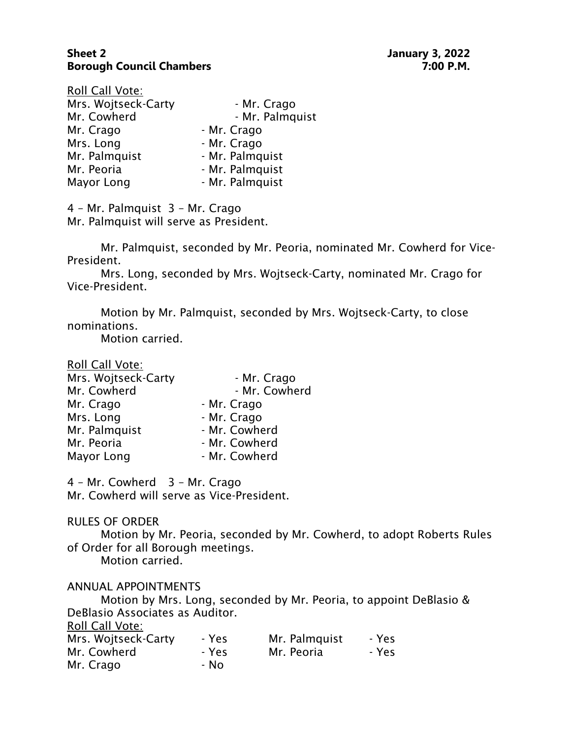# **Sheet 2 January 3, 2022 Borough Council Chambers 7:00 P.M.**

| Roll Call Vote:     |                 |
|---------------------|-----------------|
| Mrs. Wojtseck-Carty | - Mr. Crago     |
| Mr. Cowherd         | - Mr. Palmquist |
| Mr. Crago           | - Mr. Crago     |
| Mrs. Long           | - Mr. Crago     |
| Mr. Palmquist       | - Mr. Palmquist |
| Mr. Peoria          | - Mr. Palmquist |
| Mayor Long          | - Mr. Palmquist |

4 – Mr. Palmquist 3 – Mr. Crago Mr. Palmquist will serve as President.

Mr. Palmquist, seconded by Mr. Peoria, nominated Mr. Cowherd for Vice-President.

Mrs. Long, seconded by Mrs. Wojtseck-Carty, nominated Mr. Crago for Vice-President.

Motion by Mr. Palmquist, seconded by Mrs. Wojtseck-Carty, to close nominations.

- Mr. Crago

Motion carried.

| Roll Call Vote:     |  |
|---------------------|--|
| Mrs. Wojtseck-Carty |  |
| Mr Cowherd          |  |

| Mr. Cowherd   | - Mr. Cowherd |
|---------------|---------------|
| Mr. Crago     | - Mr. Crago   |
| Mrs. Long     | - Mr. Crago   |
| Mr. Palmquist | - Mr. Cowherd |
| Mr. Peoria    | - Mr. Cowherd |
| Mayor Long    | - Mr. Cowherd |

4 – Mr. Cowherd 3 – Mr. Crago Mr. Cowherd will serve as Vice-President.

#### RULES OF ORDER

Motion by Mr. Peoria, seconded by Mr. Cowherd, to adopt Roberts Rules of Order for all Borough meetings.

Motion carried.

#### ANNUAL APPOINTMENTS

Motion by Mrs. Long, seconded by Mr. Peoria, to appoint DeBlasio & DeBlasio Associates as Auditor. Roll Call Vote:

| ROIL CAIL VOLE:     |       |               |       |
|---------------------|-------|---------------|-------|
| Mrs. Wojtseck-Carty | - Yes | Mr. Palmquist | - Yes |
| Mr. Cowherd         | - Yes | Mr. Peoria    | - Yes |
| Mr. Crago           | - No  |               |       |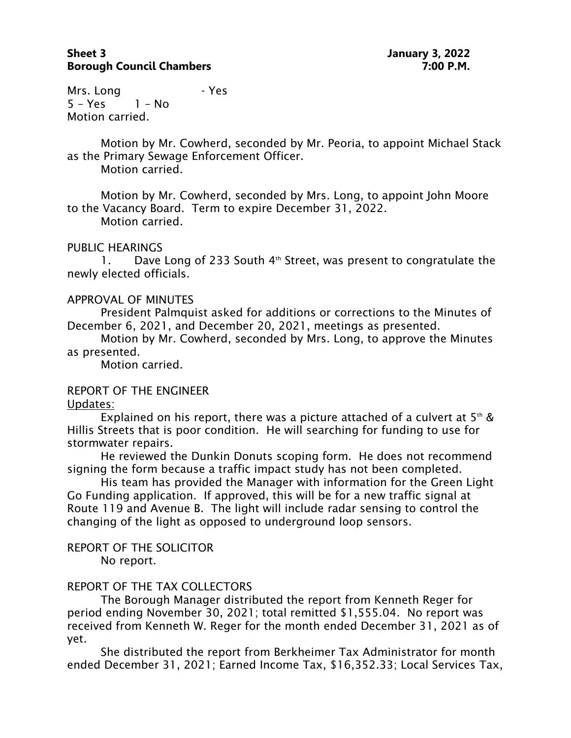# **Sheet 3 January 3, 2022 Borough Council Chambers 7:00 P.M.**

Mrs. Long Frest 5 – Yes 1 – No Motion carried.

Motion by Mr. Cowherd, seconded by Mr. Peoria, to appoint Michael Stack as the Primary Sewage Enforcement Officer.

Motion carried.

Motion by Mr. Cowherd, seconded by Mrs. Long, to appoint John Moore to the Vacancy Board. Term to expire December 31, 2022. Motion carried.

# PUBLIC HEARINGS

1. Dave Long of 233 South 4<sup>th</sup> Street, was present to congratulate the newly elected officials.

#### APPROVAL OF MINUTES

President Palmquist asked for additions or corrections to the Minutes of December 6, 2021, and December 20, 2021, meetings as presented.

Motion by Mr. Cowherd, seconded by Mrs. Long, to approve the Minutes as presented.

Motion carried.

# REPORT OF THE ENGINEER

Updates:

Explained on his report, there was a picture attached of a culvert at  $5<sup>th</sup>$  & Hillis Streets that is poor condition. He will searching for funding to use for stormwater repairs.

He reviewed the Dunkin Donuts scoping form. He does not recommend signing the form because a traffic impact study has not been completed.

His team has provided the Manager with information for the Green Light Go Funding application. If approved, this will be for a new traffic signal at Route 119 and Avenue B. The light will include radar sensing to control the changing of the light as opposed to underground loop sensors.

#### REPORT OF THE SOLICITOR No report.

# REPORT OF THE TAX COLLECTORS

The Borough Manager distributed the report from Kenneth Reger for period ending November 30, 2021; total remitted \$1,555.04. No report was received from Kenneth W. Reger for the month ended December 31, 2021 as of yet.

She distributed the report from Berkheimer Tax Administrator for month ended December 31, 2021; Earned Income Tax, \$16,352.33; Local Services Tax,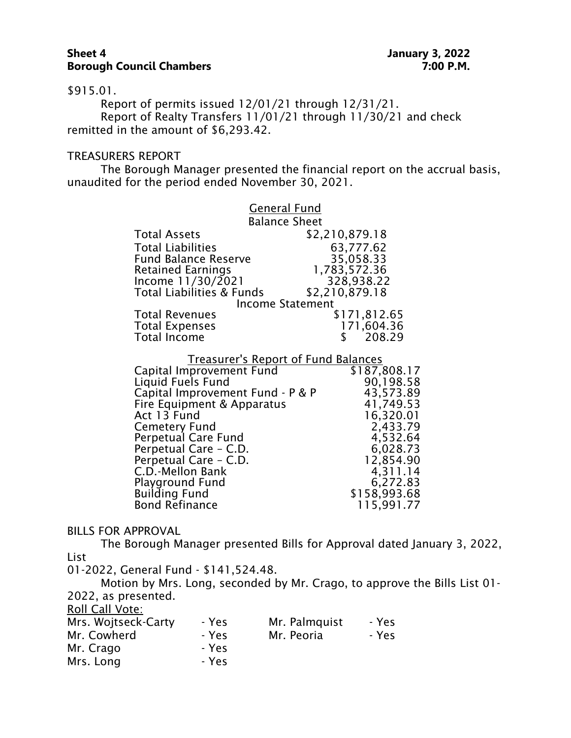#### **Sheet 4 January 3, 2022 Borough Council Chambers 7:00 P.M.**

\$915.01.

Report of permits issued 12/01/21 through 12/31/21. Report of Realty Transfers 11/01/21 through 11/30/21 and check remitted in the amount of \$6,293.42.

#### TREASURERS REPORT

The Borough Manager presented the financial report on the accrual basis, unaudited for the period ended November 30, 2021.

| <b>General Fund</b>                        |                |  |
|--------------------------------------------|----------------|--|
| <b>Balance Sheet</b>                       |                |  |
| <b>Total Assets</b>                        | \$2,210,879.18 |  |
| <b>Total Liabilities</b>                   | 63,777.62      |  |
| <b>Fund Balance Reserve</b>                | 35,058.33      |  |
| <b>Retained Earnings</b>                   | 1,783,572.36   |  |
| Income $11/30/2021$                        | 328,938.22     |  |
| <b>Total Liabilities &amp; Funds</b>       | \$2,210,879.18 |  |
| <b>Income Statement</b>                    |                |  |
| <b>Total Revenues</b>                      | \$171,812.65   |  |
| <b>Total Expenses</b>                      | 171,604.36     |  |
| <b>Total Income</b>                        | 208.29<br>S.   |  |
|                                            |                |  |
| <b>Treasurer's Report of Fund Balances</b> |                |  |
| Capital Improvement Fund                   | \$187,808.17   |  |
| Liquid Fuels Fund                          | 90,198.58      |  |
|                                            |                |  |

| Liquid Fuels Fund                | 90,198.58    |
|----------------------------------|--------------|
| Capital Improvement Fund - P & P | 43,573.89    |
| Fire Equipment & Apparatus       | 41,749.53    |
| Act 13 Fund                      | 16,320.01    |
| <b>Cemetery Fund</b>             | 2,433.79     |
| <b>Perpetual Care Fund</b>       | 4,532.64     |
| Perpetual Care - C.D.            | 6,028.73     |
| Perpetual Care - C.D.            | 12,854.90    |
| C.D.-Mellon Bank                 | 4,311.14     |
| Playground Fund                  | 6,272.83     |
| <b>Building Fund</b>             | \$158,993.68 |
| <b>Bond Refinance</b>            | 115,991.77   |
|                                  |              |

#### BILLS FOR APPROVAL

The Borough Manager presented Bills for Approval dated January 3, 2022, List

01-2022, General Fund - \$141,524.48.

Motion by Mrs. Long, seconded by Mr. Crago, to approve the Bills List 01- 2022, as presented. Roll Call Vote:

| Mrs. Wojtseck-Carty | - Yes | Mr. Palmquist | - Yes |
|---------------------|-------|---------------|-------|
| Mr. Cowherd         | - Yes | Mr. Peoria    | - Yes |
| Mr. Crago           | - Yes |               |       |
| Mrs. Long           | - Yes |               |       |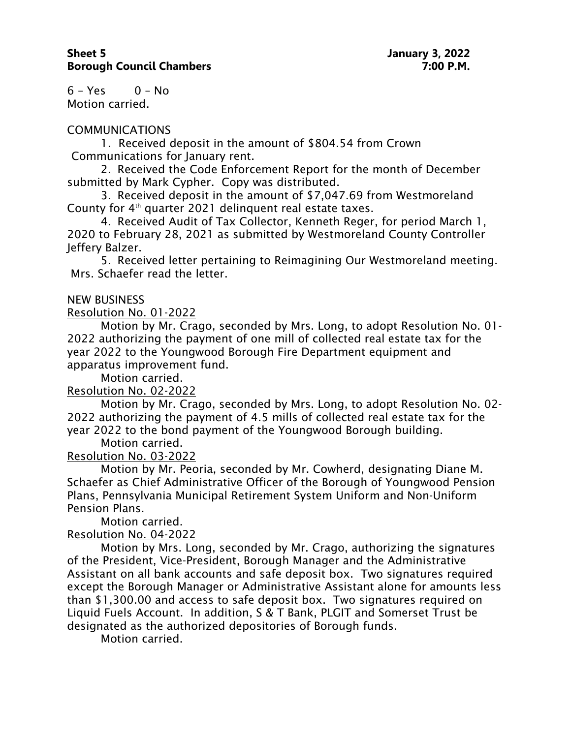$6 - Yes$   $0 - No$ Motion carried.

## COMMUNICATIONS

1. Received deposit in the amount of \$804.54 from Crown Communications for January rent.

2. Received the Code Enforcement Report for the month of December submitted by Mark Cypher. Copy was distributed.

3. Received deposit in the amount of \$7,047.69 from Westmoreland County for 4<sup>th</sup> quarter 2021 delinquent real estate taxes.

4. Received Audit of Tax Collector, Kenneth Reger, for period March 1, 2020 to February 28, 2021 as submitted by Westmoreland County Controller Jeffery Balzer.

5. Received letter pertaining to Reimagining Our Westmoreland meeting. Mrs. Schaefer read the letter.

## NEW BUSINESS

Resolution No. 01-2022

Motion by Mr. Crago, seconded by Mrs. Long, to adopt Resolution No. 01- 2022 authorizing the payment of one mill of collected real estate tax for the year 2022 to the Youngwood Borough Fire Department equipment and apparatus improvement fund.

Motion carried.

# Resolution No. 02-2022

Motion by Mr. Crago, seconded by Mrs. Long, to adopt Resolution No. 02- 2022 authorizing the payment of 4.5 mills of collected real estate tax for the year 2022 to the bond payment of the Youngwood Borough building.

Motion carried.

# Resolution No. 03-2022

Motion by Mr. Peoria, seconded by Mr. Cowherd, designating Diane M. Schaefer as Chief Administrative Officer of the Borough of Youngwood Pension Plans, Pennsylvania Municipal Retirement System Uniform and Non-Uniform Pension Plans.

Motion carried.

# Resolution No. 04-2022

Motion by Mrs. Long, seconded by Mr. Crago, authorizing the signatures of the President, Vice-President, Borough Manager and the Administrative Assistant on all bank accounts and safe deposit box. Two signatures required except the Borough Manager or Administrative Assistant alone for amounts less than \$1,300.00 and access to safe deposit box. Two signatures required on Liquid Fuels Account. In addition, S & T Bank, PLGIT and Somerset Trust be designated as the authorized depositories of Borough funds.

Motion carried.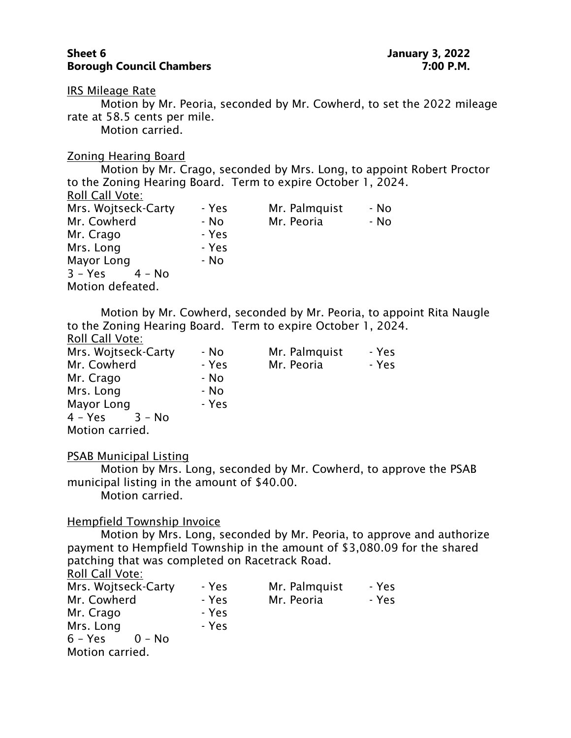#### **Sheet 6 January 3, 2022 Borough Council Chambers 7:00 P.M.**

IRS Mileage Rate

Motion by Mr. Peoria, seconded by Mr. Cowherd, to set the 2022 mileage rate at 58.5 cents per mile.

Motion carried.

#### Zoning Hearing Board

Motion by Mr. Crago, seconded by Mrs. Long, to appoint Robert Proctor to the Zoning Hearing Board. Term to expire October 1, 2024. Roll Call Vote: Mrs. Wojtseck-Carty - Yes Mr. Palmquist - No Mr. Cowherd - No Mr. Peoria - No Mr. Crago Parago - Yes Mrs. Long Frest Mayor Long The Role - No  $3 - Yes$   $4 - No$ Motion defeated.

Motion by Mr. Cowherd, seconded by Mr. Peoria, to appoint Rita Naugle to the Zoning Hearing Board. Term to expire October 1, 2024. Roll Call Vote:

| Mrs. Wojtseck-Carty | - No  | Mr. Palmquist | - Yes |
|---------------------|-------|---------------|-------|
| Mr. Cowherd         | - Yes | Mr. Peoria    | - Yes |
| Mr. Crago           | - No  |               |       |
| Mrs. Long           | - No  |               |       |
| Mayor Long          | - Yes |               |       |
| 4 – Yes<br>$3 - No$ |       |               |       |
| Motion carried.     |       |               |       |

#### PSAB Municipal Listing

Motion by Mrs. Long, seconded by Mr. Cowherd, to approve the PSAB municipal listing in the amount of \$40.00.

Motion carried.

#### Hempfield Township Invoice

Motion by Mrs. Long, seconded by Mr. Peoria, to approve and authorize payment to Hempfield Township in the amount of \$3,080.09 for the shared patching that was completed on Racetrack Road.

Roll Call Vote:

| Mrs. Wojtseck-Carty | - Yes | Mr. Palmquist | - Yes |
|---------------------|-------|---------------|-------|
| Mr. Cowherd         | - Yes | Mr. Peoria    | - Yes |
| Mr. Crago           | - Yes |               |       |
| Mrs. Long           | - Yes |               |       |
| 6 – Yes<br>$0 - No$ |       |               |       |
| Motion carried.     |       |               |       |